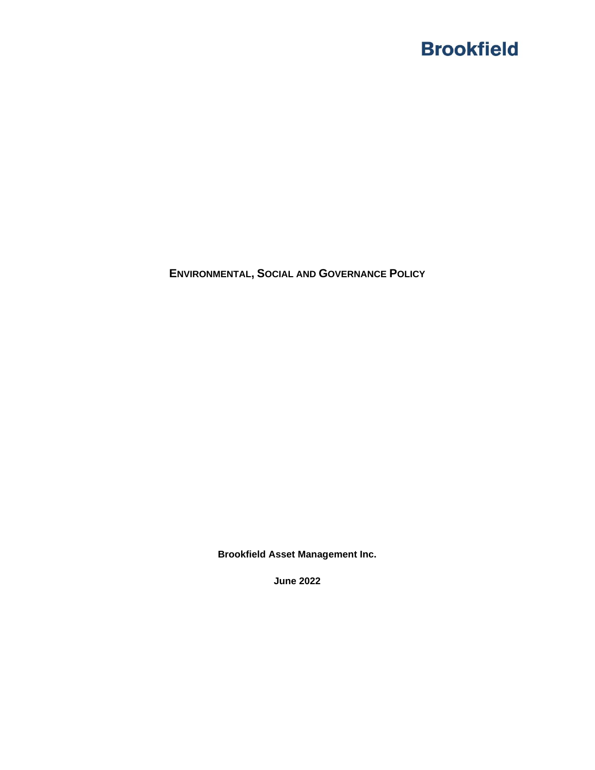**ENVIRONMENTAL, SOCIAL AND GOVERNANCE POLICY**

**Brookfield Asset Management Inc.**

**June 2022**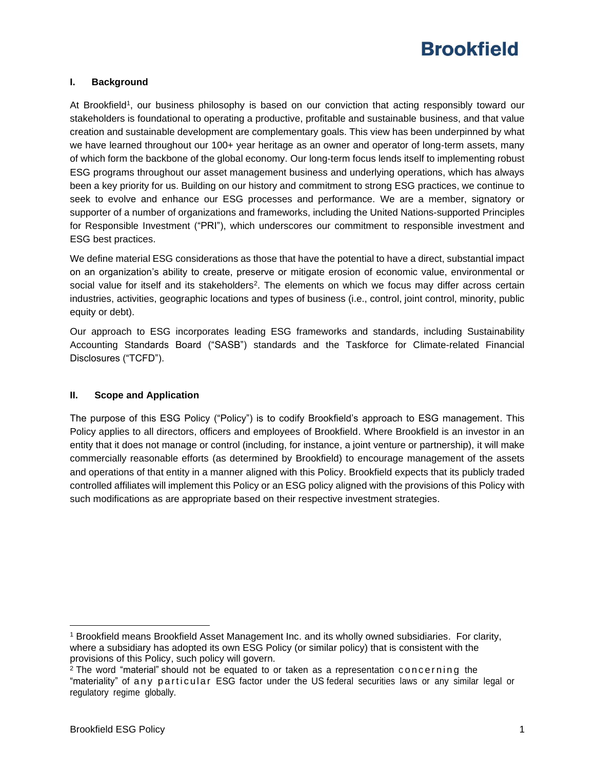## **I. Background**

At Brookfield<sup>1</sup>, our business philosophy is based on our conviction that acting responsibly toward our stakeholders is foundational to operating a productive, profitable and sustainable business, and that value creation and sustainable development are complementary goals. This view has been underpinned by what we have learned throughout our 100+ year heritage as an owner and operator of long-term assets, many of which form the backbone of the global economy. Our long-term focus lends itself to implementing robust ESG programs throughout our asset management business and underlying operations, which has always been a key priority for us. Building on our history and commitment to strong ESG practices, we continue to seek to evolve and enhance our ESG processes and performance. We are a member, signatory or supporter of a number of organizations and frameworks, including the United Nations-supported Principles for Responsible Investment ("PRI"), which underscores our commitment to responsible investment and ESG best practices.

We define material ESG considerations as those that have the potential to have a direct, substantial impact on an organization's ability to create, preserve or mitigate erosion of economic value, environmental or social value for itself and its stakeholders<sup>2</sup>. The elements on which we focus may differ across certain industries, activities, geographic locations and types of business (i.e., control, joint control, minority, public equity or debt).

Our approach to ESG incorporates leading ESG frameworks and standards, including Sustainability Accounting Standards Board ("SASB") standards and the Taskforce for Climate-related Financial Disclosures ("TCFD").

#### **II. Scope and Application**

The purpose of this ESG Policy ("Policy") is to codify Brookfield's approach to ESG management. This Policy applies to all directors, officers and employees of Brookfield. Where Brookfield is an investor in an entity that it does not manage or control (including, for instance, a joint venture or partnership), it will make commercially reasonable efforts (as determined by Brookfield) to encourage management of the assets and operations of that entity in a manner aligned with this Policy. Brookfield expects that its publicly traded controlled affiliates will implement this Policy or an ESG policy aligned with the provisions of this Policy with such modifications as are appropriate based on their respective investment strategies.

<sup>1</sup> Brookfield means Brookfield Asset Management Inc. and its wholly owned subsidiaries. For clarity, where a subsidiary has adopted its own ESG Policy (or similar policy) that is consistent with the provisions of this Policy, such policy will govern.

 $2$  The word "material" should not be equated to or taken as a representation concerning the "materiality" of any particular ESG factor under the US federal securities laws or any similar legal or regulatory regime globally.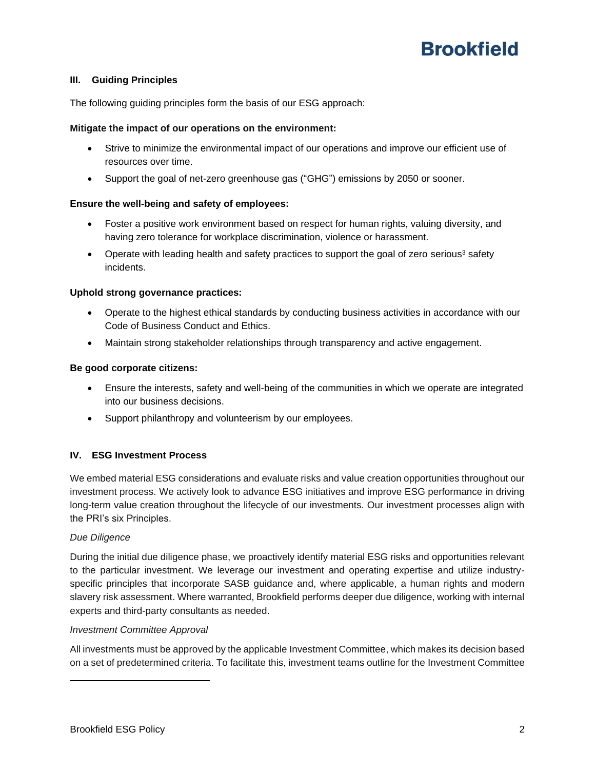## **III. Guiding Principles**

The following guiding principles form the basis of our ESG approach:

### **Mitigate the impact of our operations on the environment:**

- Strive to minimize the environmental impact of our operations and improve our efficient use of resources over time.
- Support the goal of net-zero greenhouse gas ("GHG") emissions by 2050 or sooner.

### **Ensure the well-being and safety of employees:**

- Foster a positive work environment based on respect for human rights, valuing diversity, and having zero tolerance for workplace discrimination, violence or harassment.
- Operate with leading health and safety practices to support the goal of zero serious<sup>3</sup> safety incidents.

### **Uphold strong governance practices:**

- Operate to the highest ethical standards by conducting business activities in accordance with our Code of Business Conduct and Ethics.
- Maintain strong stakeholder relationships through transparency and active engagement.

### **Be good corporate citizens:**

- Ensure the interests, safety and well-being of the communities in which we operate are integrated into our business decisions.
- Support philanthropy and volunteerism by our employees.

## **IV. ESG Investment Process**

We embed material ESG considerations and evaluate risks and value creation opportunities throughout our investment process. We actively look to advance ESG initiatives and improve ESG performance in driving long-term value creation throughout the lifecycle of our investments. Our investment processes align with the PRI's six Principles.

#### *Due Diligence*

During the initial due diligence phase, we proactively identify material ESG risks and opportunities relevant to the particular investment. We leverage our investment and operating expertise and utilize industryspecific principles that incorporate SASB guidance and, where applicable, a human rights and modern slavery risk assessment. Where warranted, Brookfield performs deeper due diligence, working with internal experts and third-party consultants as needed.

#### *Investment Committee Approval*

All investments must be approved by the applicable Investment Committee, which makes its decision based on a set of predetermined criteria. To facilitate this, investment teams outline for the Investment Committee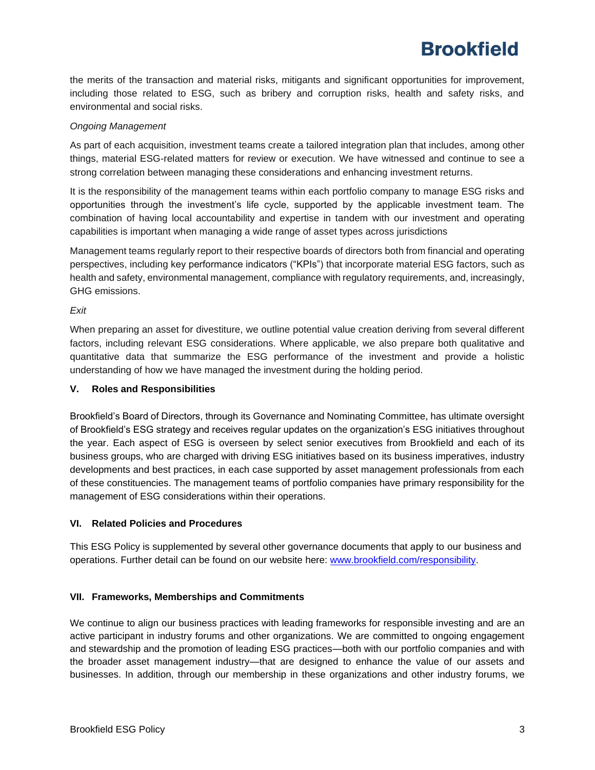the merits of the transaction and material risks, mitigants and significant opportunities for improvement, including those related to ESG, such as bribery and corruption risks, health and safety risks, and environmental and social risks.

### *Ongoing Management*

As part of each acquisition, investment teams create a tailored integration plan that includes, among other things, material ESG-related matters for review or execution. We have witnessed and continue to see a strong correlation between managing these considerations and enhancing investment returns.

It is the responsibility of the management teams within each portfolio company to manage ESG risks and opportunities through the investment's life cycle, supported by the applicable investment team. The combination of having local accountability and expertise in tandem with our investment and operating capabilities is important when managing a wide range of asset types across jurisdictions

Management teams regularly report to their respective boards of directors both from financial and operating perspectives, including key performance indicators ("KPIs") that incorporate material ESG factors, such as health and safety, environmental management, compliance with regulatory requirements, and, increasingly, GHG emissions.

*Exit*

When preparing an asset for divestiture, we outline potential value creation deriving from several different factors, including relevant ESG considerations. Where applicable, we also prepare both qualitative and quantitative data that summarize the ESG performance of the investment and provide a holistic understanding of how we have managed the investment during the holding period.

#### **V. Roles and Responsibilities**

Brookfield's Board of Directors, through its Governance and Nominating Committee, has ultimate oversight of Brookfield's ESG strategy and receives regular updates on the organization's ESG initiatives throughout the year. Each aspect of ESG is overseen by select senior executives from Brookfield and each of its business groups, who are charged with driving ESG initiatives based on its business imperatives, industry developments and best practices, in each case supported by asset management professionals from each of these constituencies. The management teams of portfolio companies have primary responsibility for the management of ESG considerations within their operations.

## **VI. Related Policies and Procedures**

This ESG Policy is supplemented by several other governance documents that apply to our business and operations. Further detail can be found on our website here: [www.brookfield.com/responsibility.](file://///bcebffps/Group/ESG/BAM%20Policies%20&%20Guidelines/ESG%20Policy/www.brookfield.com/responsibility)

## **VII. Frameworks, Memberships and Commitments**

We continue to align our business practices with leading frameworks for responsible investing and are an active participant in industry forums and other organizations. We are committed to ongoing engagement and stewardship and the promotion of leading ESG practices—both with our portfolio companies and with the broader asset management industry—that are designed to enhance the value of our assets and businesses. In addition, through our membership in these organizations and other industry forums, we